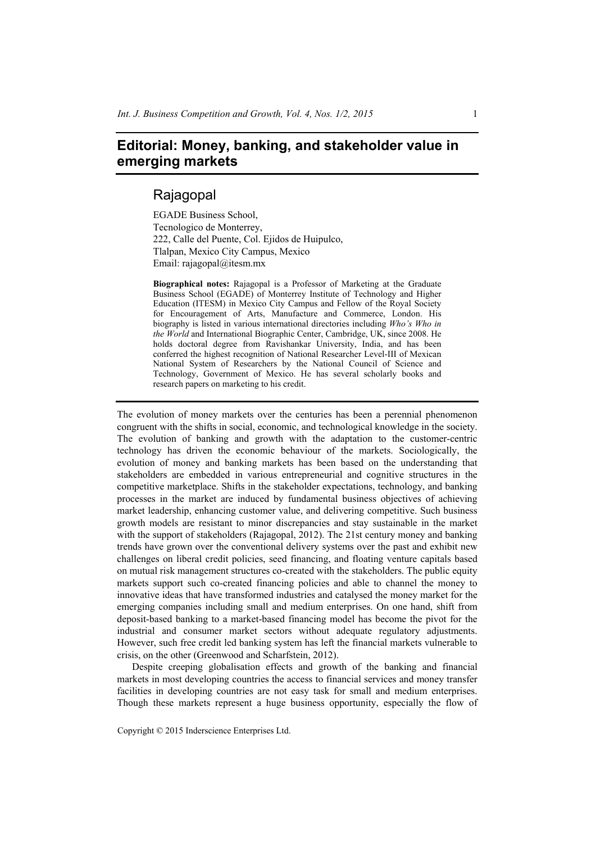## **Editorial: Money, banking, and stakeholder value in emerging markets**

## Rajagopal

EGADE Business School, Tecnologico de Monterrey, 222, Calle del Puente, Col. Ejidos de Huipulco, Tlalpan, Mexico City Campus, Mexico Email: rajagopal@itesm.mx

**Biographical notes:** Rajagopal is a Professor of Marketing at the Graduate Business School (EGADE) of Monterrey Institute of Technology and Higher Education (ITESM) in Mexico City Campus and Fellow of the Royal Society for Encouragement of Arts, Manufacture and Commerce, London. His biography is listed in various international directories including *Who's Who in the World* and International Biographic Center, Cambridge, UK, since 2008. He holds doctoral degree from Ravishankar University, India, and has been conferred the highest recognition of National Researcher Level-III of Mexican National System of Researchers by the National Council of Science and Technology, Government of Mexico. He has several scholarly books and research papers on marketing to his credit.

The evolution of money markets over the centuries has been a perennial phenomenon congruent with the shifts in social, economic, and technological knowledge in the society. The evolution of banking and growth with the adaptation to the customer-centric technology has driven the economic behaviour of the markets. Sociologically, the evolution of money and banking markets has been based on the understanding that stakeholders are embedded in various entrepreneurial and cognitive structures in the competitive marketplace. Shifts in the stakeholder expectations, technology, and banking processes in the market are induced by fundamental business objectives of achieving market leadership, enhancing customer value, and delivering competitive. Such business growth models are resistant to minor discrepancies and stay sustainable in the market with the support of stakeholders (Rajagopal, 2012). The 21st century money and banking trends have grown over the conventional delivery systems over the past and exhibit new challenges on liberal credit policies, seed financing, and floating venture capitals based on mutual risk management structures co-created with the stakeholders. The public equity markets support such co-created financing policies and able to channel the money to innovative ideas that have transformed industries and catalysed the money market for the emerging companies including small and medium enterprises. On one hand, shift from deposit-based banking to a market-based financing model has become the pivot for the industrial and consumer market sectors without adequate regulatory adjustments. However, such free credit led banking system has left the financial markets vulnerable to crisis, on the other (Greenwood and Scharfstein, 2012).

Despite creeping globalisation effects and growth of the banking and financial markets in most developing countries the access to financial services and money transfer facilities in developing countries are not easy task for small and medium enterprises. Though these markets represent a huge business opportunity, especially the flow of

Copyright © 2015 Inderscience Enterprises Ltd.